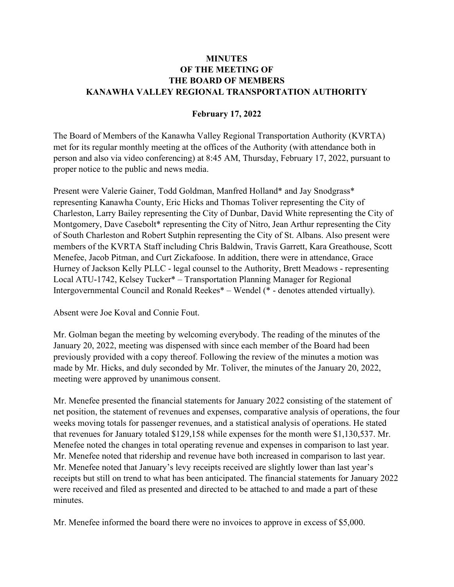## **MINUTES** OF THE MEETING OF THE BOARD OF MEMBERS KANAWHA VALLEY REGIONAL TRANSPORTATION AUTHORITY

## February 17, 2022

The Board of Members of the Kanawha Valley Regional Transportation Authority (KVRTA) met for its regular monthly meeting at the offices of the Authority (with attendance both in person and also via video conferencing) at 8:45 AM, Thursday, February 17, 2022, pursuant to proper notice to the public and news media.

Present were Valerie Gainer, Todd Goldman, Manfred Holland\* and Jay Snodgrass\* representing Kanawha County, Eric Hicks and Thomas Toliver representing the City of Charleston, Larry Bailey representing the City of Dunbar, David White representing the City of Montgomery, Dave Casebolt\* representing the City of Nitro, Jean Arthur representing the City of South Charleston and Robert Sutphin representing the City of St. Albans. Also present were members of the KVRTA Staff including Chris Baldwin, Travis Garrett, Kara Greathouse, Scott Menefee, Jacob Pitman, and Curt Zickafoose. In addition, there were in attendance, Grace Hurney of Jackson Kelly PLLC - legal counsel to the Authority, Brett Meadows - representing Local ATU-1742, Kelsey Tucker\* – Transportation Planning Manager for Regional Intergovernmental Council and Ronald Reekes\* – Wendel (\* - denotes attended virtually).

Absent were Joe Koval and Connie Fout.

Mr. Golman began the meeting by welcoming everybody. The reading of the minutes of the January 20, 2022, meeting was dispensed with since each member of the Board had been previously provided with a copy thereof. Following the review of the minutes a motion was made by Mr. Hicks, and duly seconded by Mr. Toliver, the minutes of the January 20, 2022, meeting were approved by unanimous consent.

Mr. Menefee presented the financial statements for January 2022 consisting of the statement of net position, the statement of revenues and expenses, comparative analysis of operations, the four weeks moving totals for passenger revenues, and a statistical analysis of operations. He stated that revenues for January totaled \$129,158 while expenses for the month were \$1,130,537. Mr. Menefee noted the changes in total operating revenue and expenses in comparison to last year. Mr. Menefee noted that ridership and revenue have both increased in comparison to last year. Mr. Menefee noted that January's levy receipts received are slightly lower than last year's receipts but still on trend to what has been anticipated. The financial statements for January 2022 were received and filed as presented and directed to be attached to and made a part of these minutes.

Mr. Menefee informed the board there were no invoices to approve in excess of \$5,000.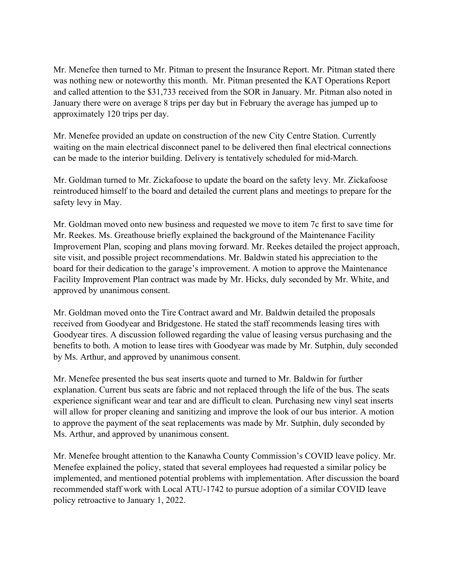Mr. Menefee then turned to Mr. Pitman to present the Insurance Report. Mr. Pitman stated there was nothing new or noteworthy this month. Mr. Pitman presented the KAT Operations Report and called attention to the \$31,733 received from the SOR in January. Mr. Pitman also noted in January there were on average 8 trips per day but in February the average has jumped up to approximately 120 trips per day.

Mr. Menefee provided an update on construction of the new City Centre Station. Currently waiting on the main electrical disconnect panel to be delivered then final electrical connections can be made to the interior building. Delivery is tentatively scheduled for mid-March.

Mr. Goldman turned to Mr. Zickafoose to update the board on the safety levy. Mr. Zickafoose reintroduced himself to the board and detailed the current plans and meetings to prepare for the safety levy in May.

Mr. Goldman moved onto new business and requested we move to item 7c first to save time for Mr. Reekes. Ms. Greathouse briefly explained the background of the Maintenance Facility Improvement Plan, scoping and plans moving forward. Mr. Reekes detailed the project approach, site visit, and possible project recommendations. Mr. Baldwin stated his appreciation to the board for their dedication to the garage's improvement. A motion to approve the Maintenance Facility Improvement Plan contract was made by Mr. Hicks, duly seconded by Mr. White, and approved by unanimous consent.

Mr. Goldman moved onto the Tire Contract award and Mr. Baldwin detailed the proposals received from Goodyear and Bridgestone. He stated the staff recommends leasing tires with Goodyear tires. A discussion followed regarding the value of leasing versus purchasing and the benefits to both. A motion to lease tires with Goodyear was made by Mr. Sutphin, duly seconded by Ms. Arthur, and approved by unanimous consent.

Mr. Menefee presented the bus seat inserts quote and turned to Mr. Baldwin for further explanation. Current bus seats are fabric and not replaced through the life of the bus. The seats experience significant wear and tear and are difficult to clean. Purchasing new vinyl seat inserts will allow for proper cleaning and sanitizing and improve the look of our bus interior. A motion to approve the payment of the seat replacements was made by Mr. Sutphin, duly seconded by Ms. Arthur, and approved by unanimous consent.

Mr. Menefee brought attention to the Kanawha County Commission's COVID leave policy. Mr. Menefee explained the policy, stated that several employees had requested a similar policy be implemented, and mentioned potential problems with implementation. After discussion the board recommended staff work with Local ATU-1742 to pursue adoption of a similar COVID leave policy retroactive to January 1, 2022.